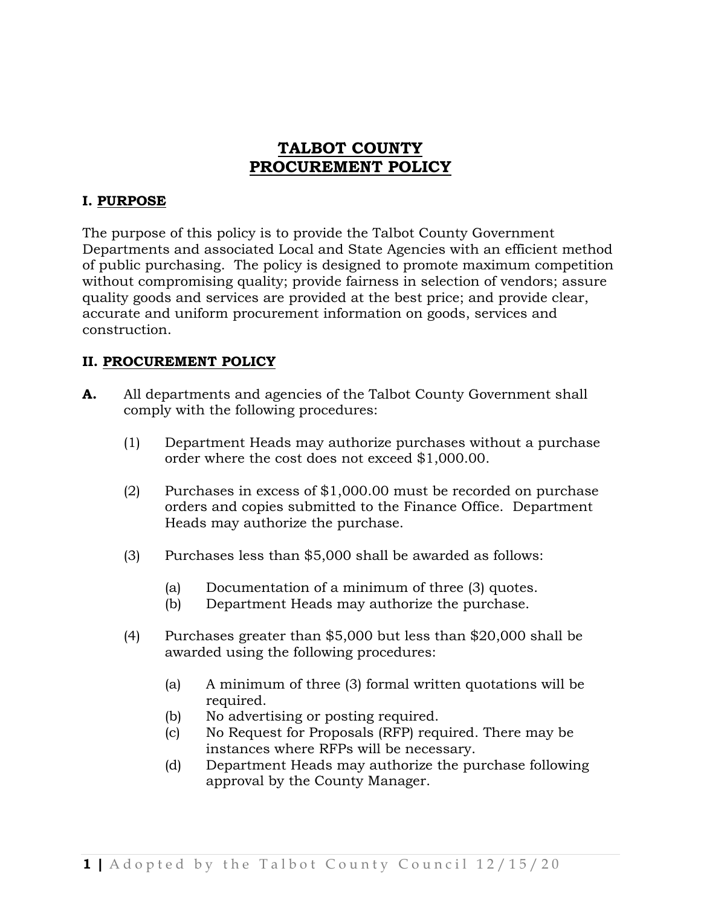# **TALBOT COUNTY PROCUREMENT POLICY**

#### **I. PURPOSE**

The purpose of this policy is to provide the Talbot County Government Departments and associated Local and State Agencies with an efficient method of public purchasing. The policy is designed to promote maximum competition without compromising quality; provide fairness in selection of vendors; assure quality goods and services are provided at the best price; and provide clear, accurate and uniform procurement information on goods, services and construction.

#### **II. PROCUREMENT POLICY**

- **A.** All departments and agencies of the Talbot County Government shall comply with the following procedures:
	- (1) Department Heads may authorize purchases without a purchase order where the cost does not exceed \$1,000.00.
	- (2) Purchases in excess of \$1,000.00 must be recorded on purchase orders and copies submitted to the Finance Office. Department Heads may authorize the purchase.
	- (3) Purchases less than \$5,000 shall be awarded as follows:
		- (a) Documentation of a minimum of three (3) quotes.
		- (b) Department Heads may authorize the purchase.
	- (4) Purchases greater than \$5,000 but less than \$20,000 shall be awarded using the following procedures:
		- (a) A minimum of three (3) formal written quotations will be required.
		- (b) No advertising or posting required.
		- (c) No Request for Proposals (RFP) required. There may be instances where RFPs will be necessary.
		- (d) Department Heads may authorize the purchase following approval by the County Manager.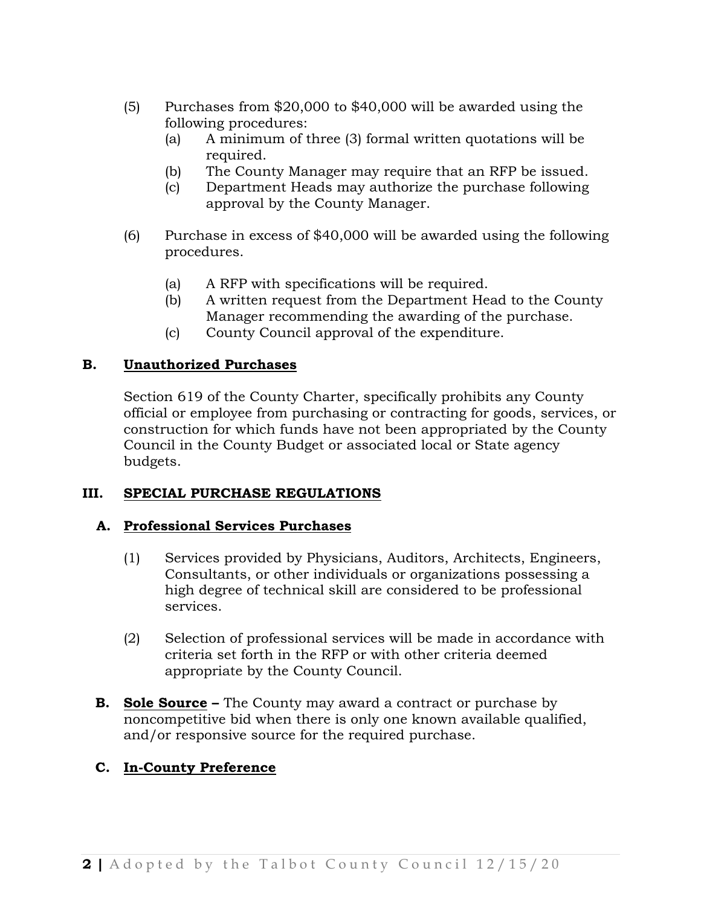- (5) Purchases from \$20,000 to \$40,000 will be awarded using the following procedures:
	- (a) A minimum of three (3) formal written quotations will be required.
	- (b) The County Manager may require that an RFP be issued.
	- (c) Department Heads may authorize the purchase following approval by the County Manager.
- (6) Purchase in excess of \$40,000 will be awarded using the following procedures.
	- (a) A RFP with specifications will be required.
	- (b) A written request from the Department Head to the County Manager recommending the awarding of the purchase.
	- (c) County Council approval of the expenditure.

## **B. Unauthorized Purchases**

Section 619 of the County Charter, specifically prohibits any County official or employee from purchasing or contracting for goods, services, or construction for which funds have not been appropriated by the County Council in the County Budget or associated local or State agency budgets.

## **III. SPECIAL PURCHASE REGULATIONS**

## **A. Professional Services Purchases**

- (1) Services provided by Physicians, Auditors, Architects, Engineers, Consultants, or other individuals or organizations possessing a high degree of technical skill are considered to be professional services.
- (2) Selection of professional services will be made in accordance with criteria set forth in the RFP or with other criteria deemed appropriate by the County Council.
- **B. Sole Source –** The County may award a contract or purchase by noncompetitive bid when there is only one known available qualified, and/or responsive source for the required purchase.

## **C. In-County Preference**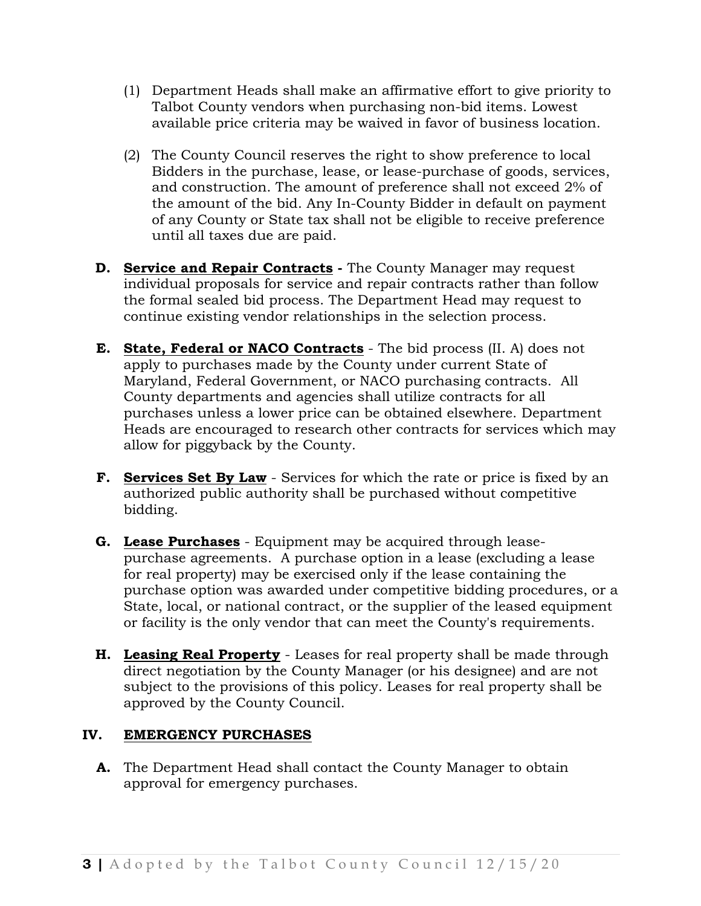- (1) Department Heads shall make an affirmative effort to give priority to Talbot County vendors when purchasing non-bid items. Lowest available price criteria may be waived in favor of business location.
- (2) The County Council reserves the right to show preference to local Bidders in the purchase, lease, or lease-purchase of goods, services, and construction. The amount of preference shall not exceed 2% of the amount of the bid. Any In-County Bidder in default on payment of any County or State tax shall not be eligible to receive preference until all taxes due are paid.
- **D. Service and Repair Contracts -** The County Manager may request individual proposals for service and repair contracts rather than follow the formal sealed bid process. The Department Head may request to continue existing vendor relationships in the selection process.
- **E. State, Federal or NACO Contracts** The bid process (II. A) does not apply to purchases made by the County under current State of Maryland, Federal Government, or NACO purchasing contracts. All County departments and agencies shall utilize contracts for all purchases unless a lower price can be obtained elsewhere. Department Heads are encouraged to research other contracts for services which may allow for piggyback by the County.
- **F. Services Set By Law** Services for which the rate or price is fixed by an authorized public authority shall be purchased without competitive bidding.
- **G. Lease Purchases** Equipment may be acquired through leasepurchase agreements. A purchase option in a lease (excluding a lease for real property) may be exercised only if the lease containing the purchase option was awarded under competitive bidding procedures, or a State, local, or national contract, or the supplier of the leased equipment or facility is the only vendor that can meet the County's requirements.
- **H. Leasing Real Property** Leases for real property shall be made through direct negotiation by the County Manager (or his designee) and are not subject to the provisions of this policy. Leases for real property shall be approved by the County Council.

#### **IV. EMERGENCY PURCHASES**

 **A.** The Department Head shall contact the County Manager to obtain approval for emergency purchases.